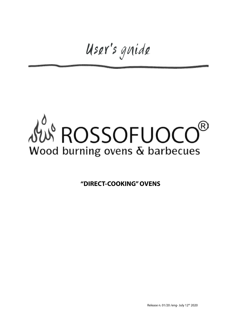User's guide

## **SUS ROSSOFUOCO** (R) Wood burning ovens & barbecues

**"DIRECT-COOKING" OVENS**

Release n. 01/20 /eng- July 12<sup>th</sup> 2020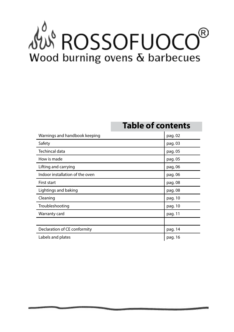## AUS ROSSOFUOCO (R) Wood burning ovens & barbecues

### **Table of contents**

| Warnings and handbook keeping   | pag. 02 |
|---------------------------------|---------|
| Safety                          | pag. 03 |
| Techincal data                  | pag. 05 |
| How is made                     | pag. 05 |
| Lifting and carrying            | pag, 06 |
| Indoor installation of the oven | pag. 06 |
| <b>First start</b>              | pag. 08 |
| Lightings and baking            | pag. 08 |
| Cleaning                        | pag. 10 |
| Troubleshooting                 | pag. 10 |
| Warranty card                   | pag. 11 |
|                                 |         |
| Declaration of CE conformity    | pag. 14 |
| Labels and plates               | pag. 16 |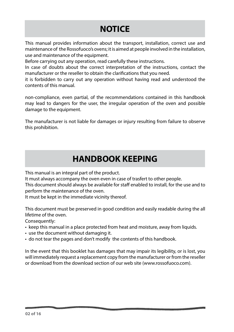## **NOTICE**

This manual provides information about the transport, installation, correct use and maintenance of the Rossofuoco's ovens; it is aimed at people involved in the installation, use and maintenance of the equipment.

Before carrying out any operation, read carefully these instructions.

In case of doubts about the correct interpretation of the instructions, contact the manufacturer or the reseller to obtain the clarifications that you need.

it is forbidden to carry out any operation without having read and understood the contents of this manual.

non-compliance, even partial, of the recommendations contained in this handbook may lead to dangers for the user, the irregular operation of the oven and possible damage to the equipment.

The manufacturer is not liable for damages or injury resulting from failure to observe this prohibition.

### **HANDBOOK KEEPING**

This manual is an integral part of the product.

It must always accompany the oven even in case of trasfert to other people.

This document should always be available for staff enabled to install, for the use and to perform the maintenance of the oven.

It must be kept in the immediate vicinity thereof.

This document must be preserved in good condition and easily readable during the all lifetime of the oven.

Consequently:

- keep this manual in a place protected from heat and moisture, away from liquids.
- use the document without damaging it.
- do not tear the pages and don't modify the contents of this handbook.

In the event that this booklet has damages that may impair its legibility, or is lost, you will immediately request a replacement copy from the manufacturer or from the reseller or download from the download section of our web site (www.rossofuoco.com).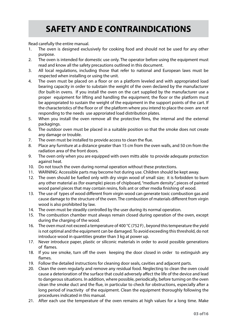## **SAFETY AND E CONTRAINDICATIONS**

Read carefully the entire manual.

- 1. The oven is designed exclusively for cooking food and should not be used for any other purpose.
- 2. The oven is intended for domestic use only. The operator before using the equipment must read and know all the safety precautions outlined in this document.
- 3. All local regulations, including those that refer to national and European laws must be respected when installing or using the unit.
- 4. The oven must be placed on a floor or on a platform leveled and with appropriated load bearing capacity in order to substain the weight of the oven declared by the manufacturer (for built-in ovens. If you install the oven on the cart supplied by the manufacturer use a proper equipment for lifting and handling the equipment; the floor or the platform must be appropriated to sustain the weight of the equipment in the support points of the cart. If the characteristics of the floor or of the platform where you intend to place the oven are not responding to the needs use approriated load distribution plates.
- 5. When you install the oven remove all the protective films, the internal and the external packagings.
- 6. The outdoor oven must be placed in a suitable position so that the smoke does not create any damage or trouble.
- 7. The oven must be installed to provide access to clean the flue.
- 8. Place any furniture at a distance greater than 15 cm from the oven walls, and 50 cm from the radiation area of the front doors.
- 9. The oven only when you are equipped with oven mitts able to provide adequate protection against heat.
- 10. Do not touch the oven during normal operation without these protections.
- 11. WARNING: Accessible parts may become hot during use. Children should be kept away.
- 12. The oven should be fuelled only with dry virgin wood of small size; it is forbidden to burn any other material as (for example) pieces of chipboard, "medium density", pieces of painted wood panel pieces that may contain resins, foils ant or other media finishing of wood.
- 13. The use of types of wood different from virgin wood can generate toxic combustion gas and cause damage to the structure of the oven. The combustion of materials different from virgin wood is also prohibited by law.
- 14. The oven must be steadily controlled by the user during its normal operation.
- 15. The combustion chamber must always remain closed during operation of the oven, except during the charging of the wood.
- 16. The oven must not exceed a temperature of 400 °C (752 F), beyond this temperature the yield is not optimal and the equipment can be damaged. To avoid exceeding this threshold, do not introduce wood in quantities greater than 3 kg at power up.
- 17. Never introduce paper, plastic or siliconic materials in order to avoid possible generations of flames.
- 18. If you see smoke, turn off the oven keeping the door closed in order to extinguish any flames.
- 19. Follow the detailed instructions for cleaning door seals, cavities and adjacent parts.
- 20. Clean the oven regularly and remove any residual food. Neglecting to clean the oven could cause a deterioration of the surface that could adversely affect the life of the device and lead to dangerous situations. In addition, where possible, periodically, before turning on the oven clean the smoke duct and the flue, in particular to check for obstructions, especially after a long period of inactivity of the equipment. Clean the equipment thoroughly following the procedures indicated in this manual.
- 21. After each use the temperature of the oven remains at high values for a long time. Make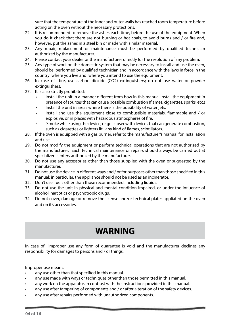sure that the temperature of the inner and outer walls has reached room temperature before acting on the oven without the necessary protections.

- 22. It is recommended to remove the ashes each time, before the use of the equipment. When you do it check that there are not burning or hot coals, to avoid burns and / or fire and, however, put the ashes in a steel bin or made with similar material.
- 23. Any repair, replacement or maintenance must be performed by qualified technician authorized by the manufacturer.
- 24. Please contact your dealer or the manufacturer directly for the resolution of any problem.
- 25. Any type of work on the domestic system that may be necessary to install and use the oven, should be performed by qualified technician and in accordance with the laws in force in the country where you live and where you intend to use the equipment.
- 26. In case of fire, use carbon dioxide (CO2) extinguishers; do not use water or powder extinguishers.
- 27. It is also strictly prohibited:
	- Install the unit in a manner different from how in this manual.Install the equipment in presence of sources that can cause possible combustion (flames, cigarettes, sparks, etc.)
	- Install the unit in areas where there is the possibility of water jets.
	- Install and use the equipment close to combustible materials, flammable and / or explosive, or in places with hazardous atmospheres of fire.
	- Smoke while using the device, or get closer with devices that can generate combustion, such as cigarettes or lighters lit, any kind of flames, scintillators.
- 28. If the oven is equipped with a gas burner, refer to the manufacturer's manual for installation and use.
- 29. Do not modify the equipment or perform technical operations that are not authorized by the manufacturer. Each technical maintenance or repairs should always be carried out at specialized centers authorized by the manufacturer.
- 30. Do not use any accessories other than those supplied with the oven or suggested by the manufacturer.
- 31. Do not use the device in different ways and / or for purposes other than those specified in this manual; in particular, the appliance should not be used as an incinerator.
- 32. Don't use fuels other than those recommended, including liquids.
- 33. Do not use the unit in physical and mental condition impaired, or under the influence of alcohol, narcotics or psychotropic drugs.
- 34. Do not cover, damage or remove the license and/or technical plates appliated on the oven and on it's accessories.

## **WARNING**

In case of improper use any form of guarantee is void and the manufacturer declines any responsibility for damages to persons and / or things.

Improper use means:

- any use other than that specified in this manual.
- any use made with ways or techniques other than those permitted in this manual.
- any work on the apparatus in contrast with the instructions provided in this manual.
- any use after tampering of components and / or after alteration of the safety devices.
- any use after repairs performed with unauthorized components.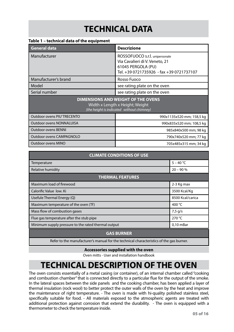## **TECHNICAL DATA**

#### **Table 1 – technical data of the equipment**

| <b>General data</b>                                                                                                       | <b>Descrizione</b>                                                                                                                 |  |
|---------------------------------------------------------------------------------------------------------------------------|------------------------------------------------------------------------------------------------------------------------------------|--|
| Manufacturer                                                                                                              | ROSSOFUOCO s.r.l. unipersonale<br>Via Cavalieri di V. Veneto, 21<br>61045 PERGOLA (PU)<br>Tel. +39 0721735926 - fax +39 0721737107 |  |
| Manufacturer's brand                                                                                                      | Rosso Fuoco                                                                                                                        |  |
| Model                                                                                                                     | see rating plate on the oven                                                                                                       |  |
| Serial number                                                                                                             | see rating plate on the oven                                                                                                       |  |
| <b>DIMENSIONS AND WEIGHT OF THE OVENS</b><br>Width x Length x Height; Weight<br>(the height is indicated without chimney) |                                                                                                                                    |  |
| Outdoor ovens PIU'TRECENTO                                                                                                | 990x1135x520 mm; 158,5 kg                                                                                                          |  |
| <b>Outdoor ovens NONNALUISA</b>                                                                                           | 990x835x520 mm; 108,5 kg                                                                                                           |  |
| <b>Outdoor ovens BENNI</b>                                                                                                | 985x840x500 mm; 98 kg                                                                                                              |  |
| Outdoor ovens CAMPAGNOLO                                                                                                  | 790x740x520 mm; 77 kg                                                                                                              |  |
| Outdoor ovens MINO                                                                                                        | 705x485x315 mm; 34 kg                                                                                                              |  |

| <b>CLIMATE CONDITIONS OF USE</b>                                   |                  |  |
|--------------------------------------------------------------------|------------------|--|
| Temperature                                                        | $5 - 40 °C$      |  |
| <b>Relative humidity</b>                                           | $20 - 90%$       |  |
| <b>THERMAL FEATURES</b>                                            |                  |  |
| Maximum load of firewood                                           | 2-3 Kg max       |  |
| Calorific Value Jow. Ki                                            | 3500 Kcal/Kg     |  |
| Usefule Thermal Energy (Q)                                         | 8500 Kcal/carica |  |
| Maximum temperature of the oven (Tf)                               | 400 °C           |  |
| Mass flow of combustion gases                                      | $7,5$ g/s        |  |
| Flue gas temperature after the stub pipe<br>270 °C                 |                  |  |
| Minimum supply pressure to the rated thermal output<br>$0,10$ mBar |                  |  |
| <b>GAS BURNER</b>                                                  |                  |  |

Refer to the manufacturer's manual for the technical characteristics of the gas burner.

#### **Accessories supplied with the oven**

Oven mitts - User and installation handbook

## **TECHNICAL DESCRIPTION OF THE OVEN**

The oven consists essentially of a metal casing (or container), of an internal chamber called "cooking and combustion chamber" that is connected directly to a particular flue for the output of the smoke. In the lateral spaces between the side panels and the cooking chamber, has been applied a layer of thermal insulation (rock wool) to better protect the outer walls of the oven by the heat and improve the maintenance of right temperature. - The oven is made with hi-quality polished stainless steel, specifically suitable for food. - All materials exposed to the atmospheric agents are treated with additional protection against corrosion that extend the durability. - The oven is equipped with a thermometer to check the temperature inside.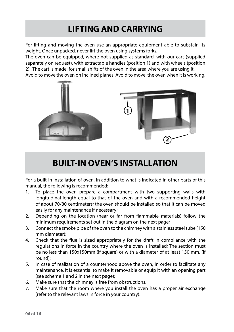## **LIFTING AND CARRYING**

For lifting and moving the oven use an appropriate equipment able to substain its weight. Once unpacked, never lift the oven using systems forks.

The oven can be equipped, where not supplied as standard, with our cart (supplied separately on request), with extractable handles (position 1) and with wheels (position 2) . The cart is made for small shifts of the oven in the area where you are using it.

Avoid to move the oven on inclined planes. Avoid to move the oven when it is working.



### **BUILT-IN OVEN'S INSTALLATION**

For a built-in installation of oven, in addition to what is indicated in other parts of this manual, the following is recommended:

- 1. To place the oven prepare a compartment with two supporting walls with longitudinal length equal to that of the oven and with a recommended height of about 70/80 centimeters; the oven should be installed so that it can be moved easily for any maintenance if necessary;
- 2. Depending on the location (near or far from flammable materials) follow the minimum requirements set out in the diagram on the next page;
- 3. Connect the smoke pipe of the oven to the chimney with a stainless steel tube (150 mm diameter);
- 4. Check that the flue is sized appropriately for the draft in compliance with the regulations in force in the country where the oven is installed; The section must be no less than 150x150mm (if square) or with a diameter of at least 150 mm. (if round);
- 5. In case of realization of a counterhood above the oven, in order to facilitate any maintenance, it is essential to make it removable or equip it with an opening part (see scheme 1 and 2 in the next page);
- 6. Make sure that the chimney is free from obstructions.
- 7. Make sure that the room where you install the oven has a proper air exchange (refer to the relevant laws in force in your country).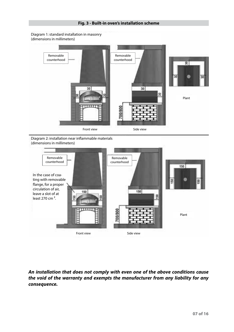

Diagram 1: standard installation in masonry (dimensions in millimeters)



Diagram 2: installation near inflammable materials (dimensions in millimeters)



*An installation that does not comply with even one of the above conditions cause the void of the warranty and exempts the manufacturer from any liability for any consequence.*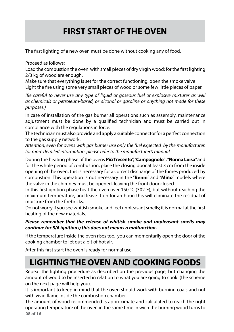## **FIRST START OF THE OVEN**

The first lighting of a new oven must be done without cooking any of food.

Proceed as follows:

Load the combustion the oven with small pieces of dry virgin wood; for the first lighting 2/3 kg of wood are enough.

Make sure that everything is set for the correct functioning. open the smoke valve Light the fire using some very small pieces of wood or some few little pieces of paper.

*(Be careful to never use any type of liquid or gaseous fuel or explosive mixtures as well as chemicals or petroleum-based, or alcohol or gasoline or anything not made for these purposes.)* 

In case of installation of the gas burner all operations such as assembly, maintenance adjustment must be done by a qualified technician and must be carried out in compliance with the regulations in force.

The technician must also provide and apply a suitable connector for a perfect connection to the gas supply network.

*Attention, even for ovens with gas burner use only the fuel expected by the manufacturer. for more detailed information please refer to the manufacturer's manual*

During the heating phase of the ovens **Più Trecento**", "**Campagnolo**" , "**Nonna Luisa**" and for the whole period of combustion, place the closing door at least 3 cm from the inside opening of the oven, this is necessary for a correct discharge of the fumes produced by combustion. This operation is not necessary in the "**Benni**" and "**Mino**" models where the valve in the chimney must be opened, leaving the front door closed

In this first ignition phase heat the oven over 150 °C (302°F), but without reaching the maximum temperature, and leave it on for an hour; this will eliminate the residual of moisture from the firebricks.

Do not worry if you see whitish smoke and feel unpleasant smells; it is normal at the first heating of the new materials.

#### *Please remember that the release of whitish smoke and unpleasant smells may continue for 5/6 ignitions; this does not means a malfunction.*

If the temperature inside the oven rises too, you can momentarily open the door of the cooking chamber to let out a bit of hot air.

After this first start the oven is ready for normal use.

## **LIGHTING THE OVEN AND COOKING FOODS**

Repeat the lighting procedure as described on the previous page, but changing the amount of wood to be inserted in relation to what you are going to cook (the scheme on the next page will help you).

It is important to keep in mind that the oven should work with burning coals and not with vivid flame inside the combustion chamber.

**08 of 16** The amount of wood recommended is approximate and calculated to reach the right operating temperature of the oven in the same time in wich the burning wood turns to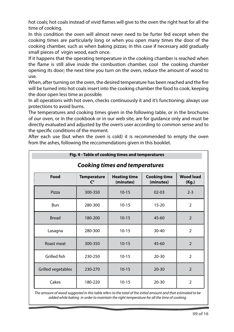hot coals; hot coals instead of vivid flames will give to the oven the right heat for all the time of cooking.

In this condition the oven will almost never need to be furter fed except when the cooking times are particularly long or when you open many times the door of the cooking chamber, such as when baking pizzas; in this case if necessary add gradually small pieces of virgin wood, each once.

If it happens that the operating temperature in the cooking chamber is reached when the flame is still alive inside the combustion chamber, cool the cooking chamber opening its door; the next time you turn on the oven, reduce the amount of wood to use.

When, after turning on the oven, the desired temperature has been reached and the fire will be turned into hot coals insert into the cooking chamber the food to cook, keeping the door open less time as possible.

In all operations with hot oven, checks continuously it and it's functioning; always use protections to avoid burns.

The temperatures and cooking times given in the following table, or in the brochures of our oven, or in the cookbook or in our web site, are for guidance only and must be directly evaluated and adjusted by the oven's user according to common sense and to the specific conditions of the moment.

After each use (but when the oven is cold) it is recommended to empty the oven from the ashes, following the reccomendations given in this booklet.

| Fig. 4 - Table of cooking times and temperatures |                                            |                                  |                                  |                           |
|--------------------------------------------------|--------------------------------------------|----------------------------------|----------------------------------|---------------------------|
| <b>Cooking times and temperatures</b>            |                                            |                                  |                                  |                           |
| Food                                             | <b>Temperature</b><br>$\mathsf{C}^{\circ}$ | <b>Heating time</b><br>(minutes) | <b>Cooking time</b><br>(minutes) | <b>Wood load</b><br>(Kg.) |
| Pizza                                            | 300-350                                    | $10 - 15$                        | $02 - 03$                        | $2 - 3$                   |
| <b>Bun</b>                                       | 280-300                                    | $10 - 15$                        | $15 - 20$                        | 2                         |
| <b>Bread</b>                                     | 180-200                                    | $10 - 15$                        | $45 - 60$                        | $\overline{2}$            |
| Lasagna                                          | 280-300                                    | $10 - 15$                        | $30 - 40$                        | $\overline{2}$            |
| Roast meat                                       | 300-350                                    | $10 - 15$                        | $45 - 60$                        | 2                         |
| Grilled fish                                     | 230-250                                    | $10 - 15$                        | $20 - 30$                        | $\overline{2}$            |
| Grilled vegetables                               | 230-270                                    | $10 - 15$                        | $20 - 30$                        | $\overline{2}$            |
| Cakes                                            | 180-220                                    | $10 - 15$                        | $20 - 30$                        | $\overline{2}$            |

*The amount of wood suggested in this table refers to the total of the initial amount and that estimated to be added while baking in order to maintain the right temperature for all the time of cooking.*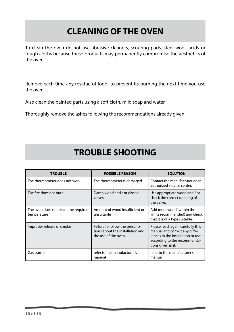## **CLEANING OF THE OVEN**

To clean the oven do not use abrasive cleaners, scouring pads, steel wool, acids or rough cloths because these products may permanently compromise the aesthetics of the oven.

Remove each time any residue of food to prevent its burning the next time you use the oven.

Also clean the painted parts using a soft cloth, mild soap and water.

Thoroughly remove the ashes following the recommendations already given.

## **TROUBLE SHOOTING**

| <b>TROUBLE</b>                                      | <b>POSSIBLE REASON</b>                                                                     | <b>SOLUTION</b>                                                                                                                                               |
|-----------------------------------------------------|--------------------------------------------------------------------------------------------|---------------------------------------------------------------------------------------------------------------------------------------------------------------|
| The thermometer does not work                       | The thermometer is damaged                                                                 | Contact the manufacturer or an<br>authorized service center.                                                                                                  |
| The fire does not burn                              | Damp wood and / or closed<br>valves                                                        | Use appropriate wood and / or<br>check the correct opening of<br>the valve.                                                                                   |
| The oven does not reach the required<br>temperature | Amount of wood insufficient or<br>unsuitable                                               | Add more wood (within the<br>limits recommended) and check<br>that it is of a type suitable.                                                                  |
| Improper release of smoke                           | Failure to follow the prescrip-<br>tions about the installation and<br>the use of the oven | Please read again carefully this<br>manual and correct any diffe-<br>rences in the installation or use,<br>according to the recommenda-<br>tions given in it. |
| Gas burner                                          | refer to the manufacturer's<br>manual                                                      | refer to the manufacturer's<br>manual                                                                                                                         |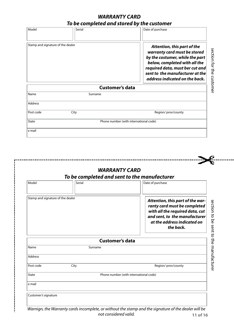#### *WARRANTY CARD To be completed and stored by the customer*

| Model                             | Serial |                        | Date of purchase                                                                                                                                                                                                                                                       |
|-----------------------------------|--------|------------------------|------------------------------------------------------------------------------------------------------------------------------------------------------------------------------------------------------------------------------------------------------------------------|
| Stamp and signature of the dealer |        |                        | Attention, this part of the<br>section for the<br>warranty card must be stored<br>by the costumer, while the part<br>below, completed with all the<br>required data, must ber cut and<br>sent to the manufacturer at the<br>customer<br>address indicated on the back. |
|                                   |        | <b>Customer's data</b> |                                                                                                                                                                                                                                                                        |
| Name                              |        | Surname                |                                                                                                                                                                                                                                                                        |
| Address                           |        |                        |                                                                                                                                                                                                                                                                        |
| Post code                         | City   |                        | Region/prov/county                                                                                                                                                                                                                                                     |
| State                             |        |                        | Phone number (with international code)                                                                                                                                                                                                                                 |
| e mail                            |        |                        |                                                                                                                                                                                                                                                                        |

|                                   | <b>WARRANTY CARD</b>   |                                                                                                                                                                                  |  |
|-----------------------------------|------------------------|----------------------------------------------------------------------------------------------------------------------------------------------------------------------------------|--|
|                                   |                        | To be completed and sent to the manufacturer                                                                                                                                     |  |
| Model                             | Serial                 | Date of purchase                                                                                                                                                                 |  |
| Stamp and signature of the dealer |                        | Attention, this part of the war-<br>ranty card must be completed<br>with all the required data, cut<br>and sent, to the manufacturer<br>at the address indicated on<br>the back. |  |
|                                   | <b>Customer's data</b> |                                                                                                                                                                                  |  |
| Name                              | Surname                |                                                                                                                                                                                  |  |
| <b>Address</b>                    |                        |                                                                                                                                                                                  |  |
| Post code<br>City                 |                        | Region/prov/county                                                                                                                                                               |  |
| State                             |                        | Phone number (with international code)                                                                                                                                           |  |
| e mail                            |                        |                                                                                                                                                                                  |  |
| Customer's signature              |                        |                                                                                                                                                                                  |  |

**11 of 16**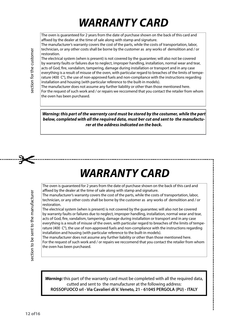## *WARRANTY CARD*

The oven is guaranteed for 2 years from the date of purchase shown on the back of this card and affixed by the dealer at the time of sale along with stamp and signature.

The manufacturer's warranty covers the cost of the parts, while the costs of transportation, labor, technician, or any other costs shall be borne by the customer as any works of demolition and / or restoration.

The electrical system (when is present) is not covered by the guarantee; will also not be covered by warranty faults or failures due to neglect, improper handling, installation, normal wear and tear, acts of God, fire, vandalism, tampering, damage during installation or transport and in any case everything is a result of misuse of the oven, with particular regard to breaches of the limits of temperature (400 C°), the use of non-approved fuels and non-compliance with the instructions regarding installation and housing (with particular reference to the built-in models).

The manufacturer does not assume any further liability or other than those mentioned here. For the request of such work and / or repairs we reccomend that you contact the retailer from whom the oven has been purchased.

*Warning: this part of the warranty card must be stored by the costumer, while the part below, completed with all the required data, must ber cut and sent to the manufacturer at the address indicated on the back.*

## *WARRANTY CARD*

.................................

The oven is guaranteed for 2 years from the date of purchase shown on the back of this card and affixed by the dealer at the time of sale along with stamp and signature.

The manufacturer's warranty covers the cost of the parts, while the costs of transportation, labor, technician, or any other costs shall be borne by the customer as any works of demolition and / or restoration.

The electrical system (when is present) is not covered by the guarantee; will also not be covered by warranty faults or failures due to neglect, improper handling, installation, normal wear and tear, acts of God, fire, vandalism, tampering, damage during installation or transport and in any case everything is a result of misuse of the oven, with particular regard to breaches of the limits of temperature (400 C°), the use of non-approved fuels and non-compliance with the instructions regarding installation and housing (with particular reference to the built-in models).

The manufacturer does not assume any further liability or other than those mentioned here. For the request of such work and / or repairs we reccomend that you contact the retailer from whom the oven has been purchased.

*Warning: this part of the warranty card must be completed with all the required data,*  **Warning:** this part of the warranty card must be completed with all the required data, cutted and sent to the manufacturer at the following address: **ROSSOFUOCO srl - Via Cavalieri di V. Veneto, 21 - 61045 PERGOLA (PU) - ITALY**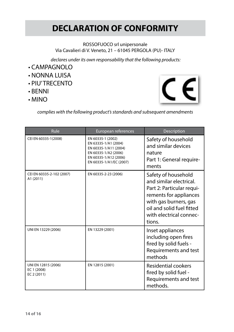## **DECLARATION OF CONFORMITY**

#### ROSSOFUOCO srl unipersonale Via Cavalieri di V. Veneto, 21 – 61045 PERGOLA (PU)- ITALY

 *declares under its own responsability that the following products:*

- CAMPAGNOLO
- NONNA LUISA
- PIU' TRECENTO
- BENNI
- MINO



*complies with the following product's standards and subsequent amendments*

| Rule                                              | European references                                                                                                                            | Description                                                                                                                                                                                      |
|---------------------------------------------------|------------------------------------------------------------------------------------------------------------------------------------------------|--------------------------------------------------------------------------------------------------------------------------------------------------------------------------------------------------|
| CEI EN 60335-1(2008)                              | EN 60335-1 (2002)<br>EN 63335-1/A1 (2004)<br>EN 60335-1/A11 (2004)<br>EN 60335-1/A2 (2006)<br>EN 60335-1/A12 (2006)<br>EN 60335-1/A1/EC (2007) | Safety of household<br>and similar devices<br>nature<br>Part 1: General require-<br>ments                                                                                                        |
| CEI EN 60335-2-102 (2007)<br>A1 (2011)            | EN 60335-2-23 (2006)                                                                                                                           | Safety of household<br>and similar electrical.<br>Part 2: Particular requi-<br>rements for appliances<br>with gas burners, gas<br>oil and solid fuel fitted<br>with electrical connec-<br>tions. |
| UNI EN 13229 (2006)                               | EN 13229 (2001)                                                                                                                                | Inset appliances<br>including open fires<br>fired by solid fuels -<br>Requirements and test<br>methods                                                                                           |
| UNI EN 12815 (2006)<br>EC 1 (2008)<br>EC 2 (2011) | EN 12815 (2001)                                                                                                                                | Residential cookers<br>fired by solid fuel -<br>Requirements and test<br>methods.                                                                                                                |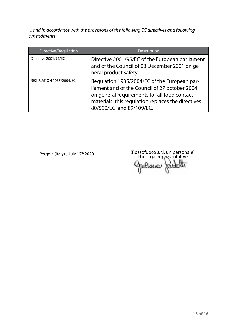*... and in accordance with the provisions of the following EC directives and following amendments:*

| Directive/Regulation    | <b>Description</b>                                                                                                                                                                                                              |
|-------------------------|---------------------------------------------------------------------------------------------------------------------------------------------------------------------------------------------------------------------------------|
| Directive 2001/95/EC    | Directive 2001/95/EC of the European parliament<br>and of the Council of 03 December 2001 on ge-<br>neral product safety.                                                                                                       |
| REGULATION 1935/2004/EC | Regulation 1935/2004/EC of the European par-<br>liament and of the Council of 27 october 2004<br>on general requirements for all food contact<br>materials; this regulation replaces the directives<br>80/590/EC and 89/109/EC. |

Pergola (Italy) , July 12<sup>th</sup> 2020 (Rossofuoco s.r.l. unipersonale)<br>The legal representative Gutiano uteller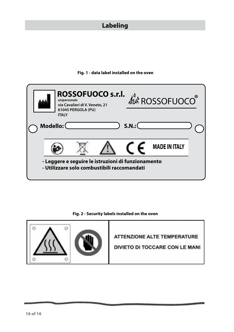#### **Labeling**

#### **Fig. 1 - data label installed on the oven**



**Fig. 2 - Security labels installed on the oven**